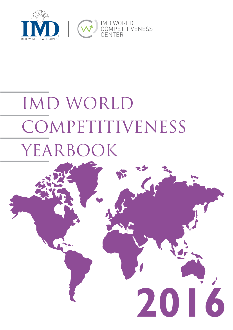

# IMD WORLD **COMPETITIVENESS** YEARBOOK

2016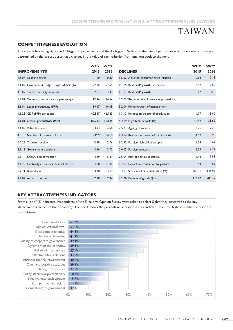# TAIWAN

### COMPETITIVENESS EVOLUTION

|                                                                                                            |            |            | <b>COMPETITIVENESS EVOLUTION &amp; ATTRACTIVENESS INDICATORS</b>                                                                         |               |            |
|------------------------------------------------------------------------------------------------------------|------------|------------|------------------------------------------------------------------------------------------------------------------------------------------|---------------|------------|
|                                                                                                            |            |            |                                                                                                                                          | <b>TAIWAN</b> |            |
| <b>COMPETITIVENESS EVOLUTION</b>                                                                           |            |            |                                                                                                                                          |               |            |
|                                                                                                            |            |            | The criteria below highlight the 15 biggest Improvements and the 15 biggest Declines in the overall performance of the economy. They are |               |            |
| determined by the largest percentage changes in the value of each criterion from one yearbook to the next. |            |            |                                                                                                                                          |               |            |
|                                                                                                            | <b>WCY</b> | <b>WCY</b> |                                                                                                                                          |               | <b>WCY</b> |
| <b>IMPROVEMENTS</b>                                                                                        | 2015       | 2016       | <b>DECLINES</b>                                                                                                                          | 2015          | 2016       |
| 1.5.07 Gasoline prices                                                                                     | 1.10       | 0.80       | 1.5.02 Adjusted consumer price inflation                                                                                                 | 0.68          | 2.13       |
| 2.1.02 Government budget surplus/deficit (%)                                                               | $-2.06$    | $-1.55$    | 1.1.15 Real GDP growth per capita                                                                                                        | 3.47          | 0.50       |
| 4.5.09 Student mobility inbound                                                                            | 2.87       | 3.41       | 1.1.14 Real GDP growth                                                                                                                   | 3.7           | 0.8        |
| 1.2.02 Current account balance percentage                                                                  | 12.34      | 14.54      | 3.2.03 Remuneration in services professions                                                                                              |               |            |
| 3.1.04 Labor productivity (PPP)                                                                            | 39.47      | 46.08      | 3.2.04 Remuneration of management                                                                                                        |               |            |
| 1.1.21 GDP (PPP) per capita                                                                                | 40,537     | 46,783     | 1.3.13 Relocation threats of production                                                                                                  | 4.77          | 3.90       |
| 3.1.01 Overall productivity (PPP)                                                                          | 85,743     | 98,145     | 4.2.19 High-tech exports (%)                                                                                                             | 46.42         | 38.62      |
| 2.1.09 Public finances                                                                                     | 3.93       | 4.50       | 2.5.03 Ageing of society                                                                                                                 | 3.26          | 2.76       |
| 4.3.18 Number of patents in force                                                                          | 936.9      | 1,049.8    | 1.3.14 Relocation threats of R&D facilities                                                                                              | 4.52          | 3.98       |
| 1.2.25 Tourism receipts                                                                                    | 2.48       | 2.76       | 3.2.22 Foreign high-skilled people                                                                                                       | 4.04          | 3.62       |
| 2.3.11 Government decisions                                                                                | 3.36       | 3.72       | 2.4.05 Foreign investors                                                                                                                 | 5.29          | 4.77       |
| 2.3.14 Bribery and corruption                                                                              | 4.89       | 5.41       | 2.5.04 Risk of political instability                                                                                                     | 6.43          | 5.81       |
| 4.1.25 Electricity costs for industrial clients                                                            | 0.100      | 0.090      | 1.2.17 Export concentration by partner                                                                                                   | 54            | 59         |
| 3.2.21 Brain drain                                                                                         | 3.38       | 3.69       | 3.3.11 Stock market capitalization (%)                                                                                                   | 160.91        | 145.93     |
| 4.1.04 Access to water                                                                                     | 7.18       | 7.84       | 1.2.08 Exports of goods (\$bn)                                                                                                           | 313.70        | 285.42     |

## KEY ATTRACTIVENESS INDICATORS

From a list of 15 indicators, respondents of the Executive Opinion Survey were asked to select 5 that they perceived as the key attractiveness factors of their economy. The chart shows the percentage of responses per indicator from the highest number of responses to the lowest.

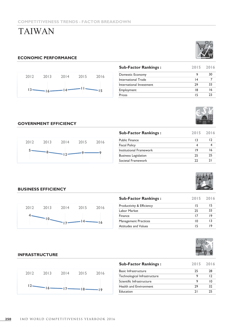# TAIWAN

## ECONOMIC PERFORMANCE



| <b>MPET</b>              | <b>ENESS TRENDS - FACTOR BREAKDOWN</b> |      |                             |      |                 |
|--------------------------|----------------------------------------|------|-----------------------------|------|-----------------|
| <b>AIWAN</b>             |                                        |      |                             |      |                 |
|                          |                                        |      |                             |      |                 |
|                          |                                        |      |                             |      |                 |
|                          | <b><i>NOMIC PERFORMANCE</i></b>        |      | <b>Sub-Factor Rankings:</b> | 2015 | 2016            |
|                          |                                        |      | Domestic Economy            | 9    | 30 <sub>2</sub> |
| 2013                     | 2014<br>2015                           | 2016 | International Trade         | 4    | $\overline{7}$  |
|                          |                                        |      | International Investment    | 29   | 33 <sup>°</sup> |
| 2012<br>$ 3-$<br>$-16$ — | 14.                                    | -15  | Employment                  | 8    | 16              |



## GOVERNMENT EFFICIENCY



|       | <b><i>NOMIC PERFORMANCE</i></b> |       |        |       |                                           |                 |                |
|-------|---------------------------------|-------|--------|-------|-------------------------------------------|-----------------|----------------|
|       |                                 |       |        |       | <b>Sub-Factor Rankings:</b>               | 2015            | 2016           |
|       |                                 |       |        |       | Domestic Economy                          | 9               | $30\,$         |
| 2012  | 2013                            | 2014  | 2015   | 2016  | <b>International Trade</b>                | 4               | $\overline{7}$ |
|       |                                 |       |        |       | International Investment                  | 29              | 33             |
| $13-$ | $-16-$                          |       |        | 15    | Employment                                | 8               | 16             |
|       |                                 |       |        |       | Prices                                    | 15              | $23\,$         |
|       | <b>VERNMENT EFFICIENCY</b>      |       |        |       |                                           |                 |                |
|       |                                 |       |        |       | <b>Sub-Factor Rankings:</b>               | 2015            | 2016           |
| 2012  | 2013                            | 2014  | 2015   | 2016  | Public Finance                            | 3               | 12             |
|       |                                 |       |        |       | <b>Fiscal Policy</b>                      | $\overline{4}$  | $\overline{4}$ |
|       |                                 |       |        |       | <b>Institutional Framework</b>            | 9               | 16             |
|       |                                 | $+2-$ |        |       |                                           |                 | 25             |
|       | $-8-$                           |       |        |       | <b>Business Legislation</b>               | 25              |                |
|       |                                 |       |        |       | Societal Framework                        | 22              | 21             |
|       | <b>INESS EFFICIENCY</b>         |       |        |       | <b>Sub-Factor Rankings:</b>               | 2015            | 2016           |
|       |                                 |       |        |       |                                           | 15              | 15             |
| 2012  | 2013                            | 2014  | $2015$ | 2016  | Productivity & Efficiency<br>Labor Market | 25              | 33             |
|       |                                 |       |        |       | Finance                                   | 17              | 9              |
|       | $10 - 17 - 14 -$                |       |        | $-16$ | Management Practices                      | $\overline{10}$ | 3              |



## BUSINESS EFFICIENCY



|                 | <b>INESS EFFICIENCY</b> |      |        |       |                              |                 |              |
|-----------------|-------------------------|------|--------|-------|------------------------------|-----------------|--------------|
|                 |                         |      |        |       | <b>Sub-Factor Rankings:</b>  | 2015            | 2016         |
| 2012            | 2013                    | 2014 | 2015   | 2016  | Productivity & Efficiency    | 15              | 15           |
|                 |                         |      |        |       | Labor Market                 | 25              | 33           |
|                 |                         |      |        |       | Finance                      | 17              | 9            |
|                 | $-10$                   | U    |        | $-16$ | Management Practices         | $\overline{10}$ | 13           |
|                 |                         |      |        |       |                              |                 | 9            |
|                 |                         |      |        |       | Attitudes and Values         | 15              |              |
|                 | <b>RASTRUCTURE</b>      |      |        |       | <b>Sub-Factor Rankings:</b>  | 2015            | 2016         |
|                 |                         |      |        |       | <b>Basic Infrastructure</b>  | 25              | $28\,$       |
| 2012            | 2013                    | 2014 | 2015   | 2016  | Technological Infrastructure | 9               | $ 2\rangle$  |
|                 |                         |      |        |       | Scientific Infrastructure    | 9               | $\,$ IO $\,$ |
| $\vert 2 \vert$ | $-16-$                  |      | $18 -$ | $-19$ | Health and Environment       | 29              | 32           |



### INFRASTRUCTURE



| <b>Sub-Factor Rankings:</b>  |    | 2015 2016 |
|------------------------------|----|-----------|
| <b>Basic Infrastructure</b>  | 25 | 28        |
| Technological Infrastructure |    |           |
| Scientific Infrastructure    |    | 10        |
| Health and Environment       | 29 | 32        |
| <b>Education</b>             |    | 25        |